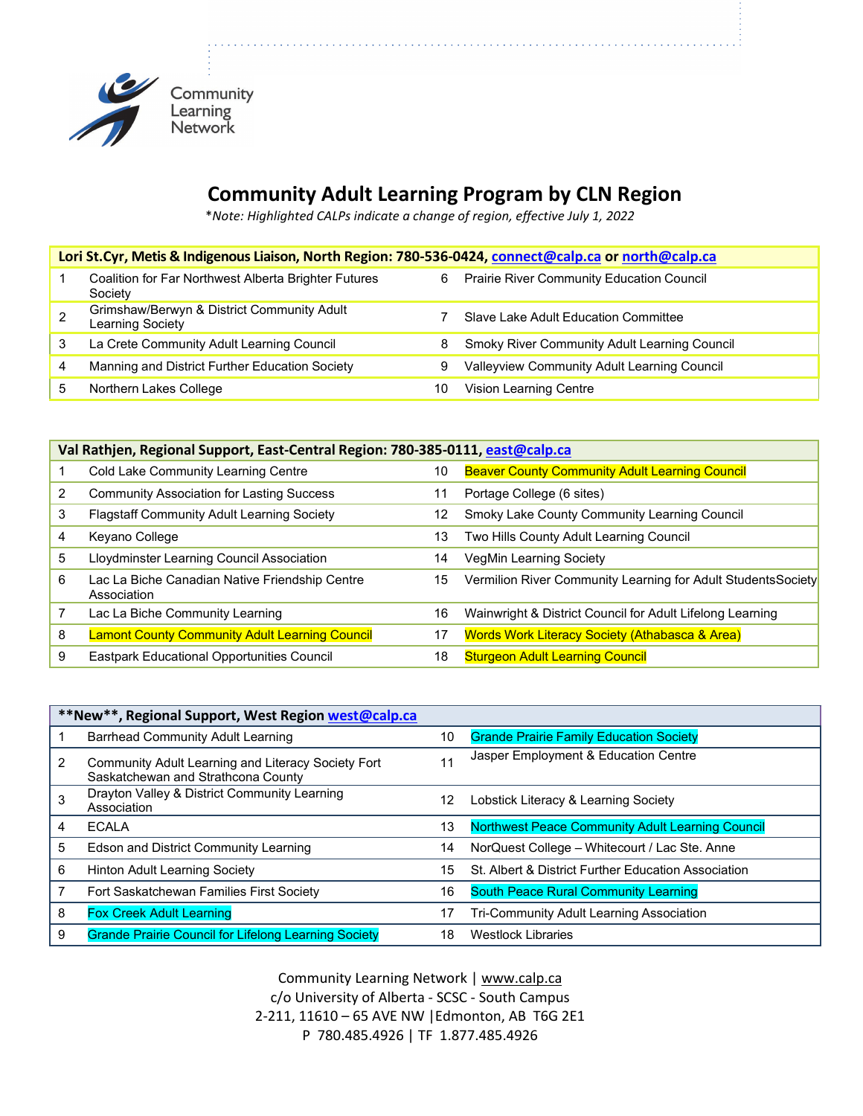

## **Community Adult Learning Program by CLN Region**

\**Note: Highlighted CALPs indicate a change of region, effective July 1, 2022*

| Lori St.Cyr, Metis & Indigenous Liaison, North Region: 780-536-0424, connect@calp.ca or north@calp.ca |                                                                 |    |                                                     |  |
|-------------------------------------------------------------------------------------------------------|-----------------------------------------------------------------|----|-----------------------------------------------------|--|
|                                                                                                       | Coalition for Far Northwest Alberta Brighter Futures<br>Society | 6  | <b>Prairie River Community Education Council</b>    |  |
|                                                                                                       | Grimshaw/Berwyn & District Community Adult<br>Learning Society  |    | Slave Lake Adult Education Committee                |  |
| 3                                                                                                     | La Crete Community Adult Learning Council                       | 8  | <b>Smoky River Community Adult Learning Council</b> |  |
| 4                                                                                                     | Manning and District Further Education Society                  | 9  | Valleyview Community Adult Learning Council         |  |
|                                                                                                       | Northern Lakes College                                          | 10 | Vision Learning Centre                              |  |

|   | Val Rathjen, Regional Support, East-Central Region: 780-385-0111, east@calp.ca |    |                                                              |  |
|---|--------------------------------------------------------------------------------|----|--------------------------------------------------------------|--|
|   | Cold Lake Community Learning Centre                                            | 10 | <b>Beaver County Community Adult Learning Council</b>        |  |
|   | <b>Community Association for Lasting Success</b>                               | 11 | Portage College (6 sites)                                    |  |
| 3 | <b>Flagstaff Community Adult Learning Society</b>                              | 12 | Smoky Lake County Community Learning Council                 |  |
| 4 | Keyano College                                                                 | 13 | Two Hills County Adult Learning Council                      |  |
| 5 | Lloydminster Learning Council Association                                      | 14 | <b>VegMin Learning Society</b>                               |  |
| 6 | Lac La Biche Canadian Native Friendship Centre<br>Association                  | 15 | Vermilion River Community Learning for Adult StudentsSociety |  |
|   | Lac La Biche Community Learning                                                | 16 | Wainwright & District Council for Adult Lifelong Learning    |  |
| 8 | <b>Lamont County Community Adult Learning Council</b>                          | 17 | <b>Words Work Literacy Society (Athabasca &amp; Area)</b>    |  |
|   | <b>Eastpark Educational Opportunities Council</b>                              | 18 | <b>Sturgeon Adult Learning Council</b>                       |  |

|   | **New**, Regional Support, West Region west@calp.ca                                      |    |                                                         |  |  |
|---|------------------------------------------------------------------------------------------|----|---------------------------------------------------------|--|--|
|   | Barrhead Community Adult Learning                                                        | 10 | <b>Grande Prairie Family Education Society</b>          |  |  |
| 2 | Community Adult Learning and Literacy Society Fort<br>Saskatchewan and Strathcona County | 11 | Jasper Employment & Education Centre                    |  |  |
|   | Drayton Valley & District Community Learning<br>Association                              | 12 | Lobstick Literacy & Learning Society                    |  |  |
| 4 | <b>ECALA</b>                                                                             | 13 | <b>Northwest Peace Community Adult Learning Council</b> |  |  |
| 5 | Edson and District Community Learning                                                    | 14 | NorQuest College - Whitecourt / Lac Ste. Anne           |  |  |
| 6 | <b>Hinton Adult Learning Society</b>                                                     | 15 | St. Albert & District Further Education Association     |  |  |
|   | Fort Saskatchewan Families First Society                                                 | 16 | <b>South Peace Rural Community Learning</b>             |  |  |
| 8 | <b>Fox Creek Adult Learning</b>                                                          | 17 | Tri-Community Adult Learning Association                |  |  |
| 9 | <b>Grande Prairie Council for Lifelong Learning Society</b>                              | 18 | <b>Westlock Libraries</b>                               |  |  |

Community Learning Network [| www.calp.ca](http://www.calp.ca/) c/o University of Alberta - SCSC - South Campus 2-211, 11610 – 65 AVE NW |Edmonton, AB T6G 2E1 P 780.485.4926 | TF 1.877.485.4926